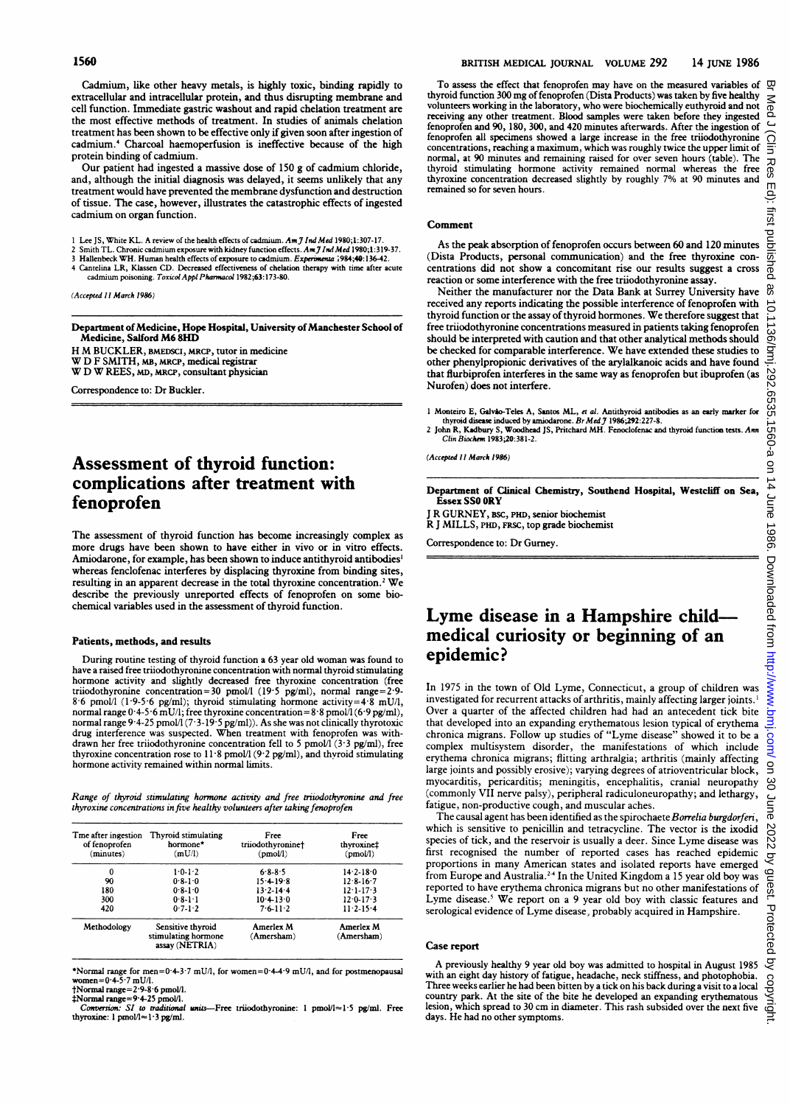Cadmium, like other heavy metals, is highly toxic, binding rapidly to extracellular and intracellular protein, and thus disrupting membrane and cell function. Immediate gastric washout and rapid chelation treatment are the most effective methods of treatment. In studies of animals chelation treatment has been shown to be effective only if given soon after ingestion of cadmium.4 Charcoal haemoperfusion is ineffective because of the high protein binding of cadmium.

Our patient had ingested a massive dose of 150 g of cadmium chloride, and, although the initial diagnosis was delayed, it seems unlikely that any treatment would have prevented the membrane dysfunction and destruction of tissue. The case, however, illustrates the catastrophic effects of ingested cadmium on organ function.

- 1 Lee JS, White KL. A review of the health effects of cadmium. Am J Ind Med 1980;1:307-17.
- 2 Smith TL. Chronic cadmium exposure with kidney function effects. Am J Ind Med 1980;1:319-37.<br>3 Hallenbeck WH. Human health effects of exposure to cadmium. Ex*perimenta* 1984;40:136-42.
- 4 Cantelina LR, Klassen CD. Decreased effectiveness of chelation therapy with time after acute<br>cadmium poisoning. Toxicol Appl Pharmacol 1982;63:173-80.
- 

(Accepted 11 March 1986)

Department of Medicine, Hope Hospital, University of Manchester School of Medicine, Salford M68HD

H M BUCKLER, BMEDSCI, MRCP, tutor in medicine

V D F SMITH, MB, MRCP, medical registrar W D W REES, MD, MRCP, consultant physician

Correspondence to: Dr Buckler.

# Assessment of thyroid function: complications after treatment with fenoprofen

The assessment of thyroid function has become increasingly complex as more drugs have been shown to have either in vivo or in vitro effects. Amiodarone, for example, has been shown to induce antithyroid antibodies<sup>1</sup> whereas fenclofenac interferes by displacing thyroxine from binding sites, resulting in an apparent decrease in the total thyroxine concentration.<sup>2</sup> We describe the previously unreported effects of fenoprofen on some biochemical variables used in the assessment of thyroid function.

## Patients, methods, and results

During routine testing of thyroid function <sup>a</sup> 63 year old woman was found to have a raised free trijodothyronine concentration with normal thyroid stimulating hormone activity and slightly decresed free thyroxine concentration (free triiodothyronine concentration=30 pmol/l (19.5 pg/ml), normal range=2.9-8.6 pmol/l (1.9-5.6 pg/ml); thyroid stimulating hormone activity=4.8 mU/l, hormal range 0.4-5.6 mU/l; free thyroxine concentration=8.8 pmol/l (6.9 pg/ml), normal range 94-25 pmol/l (7-3-19-5 pg/ml)). As she was not clinically thyrotoxic drug interference was suspected. Wben treatment with fenoprofen was withdrawn her free triiodothyronine concentration fell to 5 pmol/l (3-3 pg/ml), free thyroxine concentration rose to 11-8 pmol/l (9-2 pg/ml), and thyroid stimulating hormone activity remained within normal limits.

Range of thyroid stimulating hormone activity and free tritodothyronine and free thyroxine concentrations in five healthy volunteers after taking fenoprofen

| Tme after ingestion<br>of fenoprofen<br>(minutes) | Thyroid stimulating<br>hormone*<br>(mU/I)                  | Free<br>triiodothyronine†<br>(pmol) | Free<br>thyroxine‡<br>(pmol) |
|---------------------------------------------------|------------------------------------------------------------|-------------------------------------|------------------------------|
| 0                                                 | 1.0.1.2                                                    | $6 - 8 - 8$ 5                       | $14.2 - 18.0$                |
| 90                                                | $0.8 - 1.0$                                                | 15.4198                             | $12.8 - 16.7$                |
| 180                                               | $0.8 - 1.0$                                                | $13.2 - 14.4$                       | $12 \cdot 1 - 17 \cdot 3$    |
| 300                                               | $0.8 - 1.1$                                                | $10.4 - 13.0$                       | $12.0 - 17.3$                |
| 420                                               | $0.7 - 1.2$                                                | $7.6 - 11.2$                        | $11.2 - 15.4$                |
| Methodology                                       | Sensitive thyroid<br>stimulating hormone<br>assay (NETRIA) | Amerlex M<br>(Amersham)             | Amerlex M<br>(Amersham)      |

\*Normal range for men=0.4-3.7 mU/l, for women=0.4-4.9 mU/l, and for postmenopausal women= $0.4-5.7$  mU/I.

 $\dagger$ Normal range = 2.9-8.6 pmol/l.<br> $\dagger$ Normal range = 9.4-25 pmol/l.<br>Conversion: SI to traditional

units-Free triiodothyronine: 1 pmol/l≈1.5 pg/ml. Free thyroxine:  $1$  pmo $1/\approx 1.3$  pg/ml.

To assess the effect that fenoprofen may have on the measured variables of  $\Box$ thyroid function 300 mg of fenoprofen (Dista Products) was taken by five healthy volunteers working in the laboratory, who were biochemically euthyroid and not receiving any other treatment. Blood samples were taken before they ingested fenoprofen and 90, 180, 300, and 420 minutes afterwards. After the ingestion of<br>fenoprofen all specimens showed a large increase in the free triiodothyronine concentrations, reaching a maximum, which was roughly twice the upper limit of normal, at 90 minutes and remaining raised for over seven hours (table). The thyroid stimulating hormone activity remained normal whereas the free thyroxine concentration decreased slightly by roughly 7% at 90 minutes and remained so for seven hours.

#### Comment

As the peak absorption of fenoprofen occurs between 60 and 120 minutes (Dista Products, personal communication) and the free thyroxine concentrations did not show a concomitant rise our results suggest a cross  $\frac{1}{\sqrt{2}}$  reaction or some interference with the free triindothyproning second reaction or some interference with the free triodothyronine assay.

Neither the manufacturer nor the Data Bank at Surrey University have received any reports indicating the possible interference of fenoprofen with thyroid function or the assay of thyroid hormones. We therefore suggest that free triiodothyronine concentrations measured in patients taking fenoprofen should be interpreted with caution and that other analytical methods should be checked for compaable interference. We have extended these studies to other phenylpropionic derivatives of the arylalkanoic acids and have found that flurbiprofen interferes in the same way as fenoprofen but ibuprofen (as Nurofen) does not interfere.

I Monteiro E, Galvio-Teles A, Santos ML, et al. Antithyroid antibodies as an early marker for thyroid disease induced by amiodarone. BrMedJ1986;292:227-8.

2 John R, Kadbury S, Woodhead JS, Pritchard MH. Fenoclofenac and thyroid function tests. Am Clin Biochem 1983;20:381-2.

(Accepted 11 March 1986)

Department of Clinical Chemistry, Southend Hospital, Westcliff on Sea, Essex SS0 ORY

J R GURNEY, BSC, PHD, senior biochemist R J MILLS, PHD, FRSC, top grade biochemist

Correspondence to: Dr Gurney.

# Lyme disease in a Hampshire childmedical curiosity or beginning of an epidemic?

In- 1975 in the town of Old Lyme, Connecticut, a group of children was investigated for recurrent attacks of arthritis, mainly affecting larger joints.' Over a quarter of the affected children had had an antecedent tick bite that developed into an expanding erythematous lesion typical of erythema chronica migrans. Follow up studies of "Lyme disease" showed it to be a complex multisystem disorder, the manifestations of which include erythema chronica migrans; flitting arthralgia; arthritis (mainly affecting large joints and possibly erosive); varying degrees of atrioventricular block, myocarditis, pericarditis; meningitis, encephalitis, cranial neuropathy (commonly VII nerve palsy), peripheral radiculoneuropathy; and lethargy, fatigue, non-productive cough, and muscular aches.

The causal agent has been identified as the spirochaete Borrelia burgdorferi, which is sensitive to penicillin and tetracycline. The vector is the ixodid species of tick, and the reservoir is usually <sup>a</sup> deer. Since Lyme disease was first recognised the number of reported cases has reached epidemic proportions in many American states and isolated reports have emerged from Europe and Australia.<sup>24</sup> In the United Kingdom a 15 year old boy was reported to have erythema chronica migrans but no other manifestations of Lyme disease.<sup>5</sup> We report on a 9 year old boy with classic features and serological evidence of Lyme disease, probably acquired in Hampshire.

### Case report

A previously healthy 9 year old boy was admitted to hospital in August 1985 with an eight day history of fatigue, headache, neck stiffness, and photophobia. Three weeks earlier he had been bitten by a tick on his back during a visit to a local country park. At the site of the bite he developed an expanding erythematous lesion, which spread to 30 cm in diameter. This rash subsided over the next five days. He had no other symptoms.